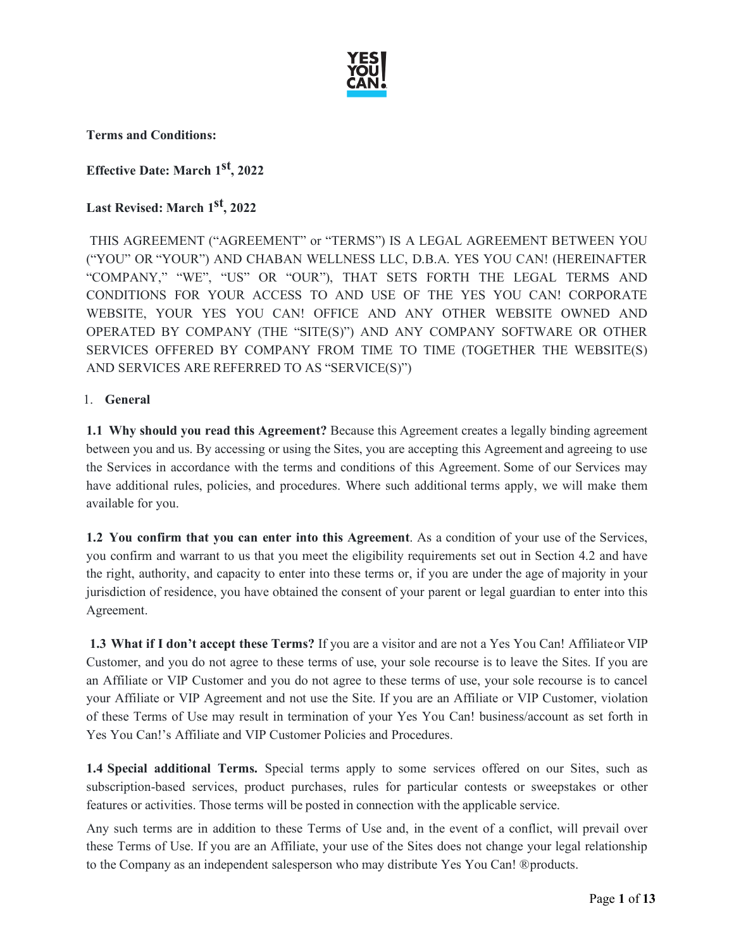

**Terms and Conditions:**

**Effective Date: March 1st, 2022**

# **Last Revised: March 1st, 2022**

THIS AGREEMENT ("AGREEMENT" or "TERMS") IS A LEGAL AGREEMENT BETWEEN YOU ("YOU" OR "YOUR") AND CHABAN WELLNESS LLC, D.B.A. YES YOU CAN! (HEREINAFTER "COMPANY," "WE", "US" OR "OUR"), THAT SETS FORTH THE LEGAL TERMS AND CONDITIONS FOR YOUR ACCESS TO AND USE OF THE YES YOU CAN! CORPORATE WEBSITE, YOUR YES YOU CAN! OFFICE AND ANY OTHER WEBSITE OWNED AND OPERATED BY COMPANY (THE "SITE(S)") AND ANY COMPANY SOFTWARE OR OTHER SERVICES OFFERED BY COMPANY FROM TIME TO TIME (TOGETHER THE WEBSITE(S) AND SERVICES ARE REFERRED TO AS "SERVICE(S)")

## 1. **General**

**1.1 Why should you read this Agreement?** Because this Agreement creates a legally binding agreement between you and us. By accessing or using the Sites, you are accepting this Agreement and agreeing to use the Services in accordance with the terms and conditions of this Agreement. Some of our Services may have additional rules, policies, and procedures. Where such additional terms apply, we will make them available for you.

**1.2 You confirm that you can enter into this Agreement**. As a condition of your use of the Services, you confirm and warrant to us that you meet the eligibility requirements set out in Section 4.2 and have the right, authority, and capacity to enter into these terms or, if you are under the age of majority in your jurisdiction of residence, you have obtained the consent of your parent or legal guardian to enter into this Agreement.

**1.3 What if I don't accept these Terms?** If you are a visitor and are not a Yes You Can! Affiliateor VIP Customer, and you do not agree to these terms of use, your sole recourse is to leave the Sites. If you are an Affiliate or VIP Customer and you do not agree to these terms of use, your sole recourse is to cancel your Affiliate or VIP Agreement and not use the Site. If you are an Affiliate or VIP Customer, violation of these Terms of Use may result in termination of your Yes You Can! business/account as set forth in Yes You Can!'s Affiliate and VIP Customer Policies and Procedures.

**1.4 Special additional Terms.** Special terms apply to some services offered on our Sites, such as subscription-based services, product purchases, rules for particular contests or sweepstakes or other features or activities. Those terms will be posted in connection with the applicable service.

Any such terms are in addition to these Terms of Use and, in the event of a conflict, will prevail over these Terms of Use. If you are an Affiliate, your use of the Sites does not change your legal relationship to the Company as an independent salesperson who may distribute Yes You Can! ®products.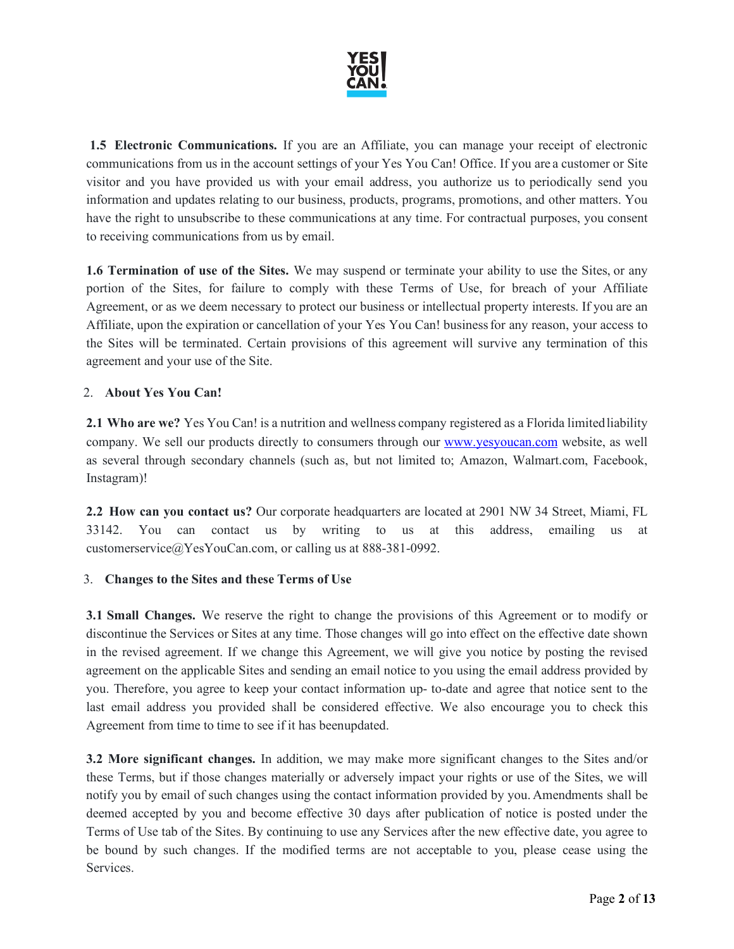

**1.5 Electronic Communications.** If you are an Affiliate, you can manage your receipt of electronic communications from us in the account settings of your Yes You Can! Office. If you are a customer or Site visitor and you have provided us with your email address, you authorize us to periodically send you information and updates relating to our business, products, programs, promotions, and other matters. You have the right to unsubscribe to these communications at any time. For contractual purposes, you consent to receiving communications from us by email.

**1.6 Termination of use of the Sites.** We may suspend or terminate your ability to use the Sites, or any portion of the Sites, for failure to comply with these Terms of Use, for breach of your Affiliate Agreement, or as we deem necessary to protect our business or intellectual property interests. If you are an Affiliate, upon the expiration or cancellation of your Yes You Can! businessfor any reason, your access to the Sites will be terminated. Certain provisions of this agreement will survive any termination of this agreement and your use of the Site.

## 2. **About Yes You Can!**

**2.1 Who are we?** Yes You Can! is a nutrition and wellness company registered as a Florida limited liability company. We sell our products directly to consumers through our [www.yesyoucan.com](http://www.yesyoucan.com/) website, as well as several through secondary channels (such as, but not limited to; Amazon, Walmart.com, Facebook, Instagram)!

**2.2 How can you contact us?** Our corporate headquarters are located at 2901 NW 34 Street, Miami, FL 33142. You can contact us by writing to us at this address, emailing us at [customerservice@YesYouCan.com,](mailto:customerservice@YesYouCan.com) or calling us at 888-381-0992.

#### 3. **Changes to the Sites and these Terms of Use**

**3.1 Small Changes.** We reserve the right to change the provisions of this Agreement or to modify or discontinue the Services or Sites at any time. Those changes will go into effect on the effective date shown in the revised agreement. If we change this Agreement, we will give you notice by posting the revised agreement on the applicable Sites and sending an email notice to you using the email address provided by you. Therefore, you agree to keep your contact information up- to-date and agree that notice sent to the last email address you provided shall be considered effective. We also encourage you to check this Agreement from time to time to see if it has beenupdated.

**3.2 More significant changes.** In addition, we may make more significant changes to the Sites and/or these Terms, but if those changes materially or adversely impact your rights or use of the Sites, we will notify you by email of such changes using the contact information provided by you. Amendments shall be deemed accepted by you and become effective 30 days after publication of notice is posted under the Terms of Use tab of the Sites. By continuing to use any Services after the new effective date, you agree to be bound by such changes. If the modified terms are not acceptable to you, please cease using the Services.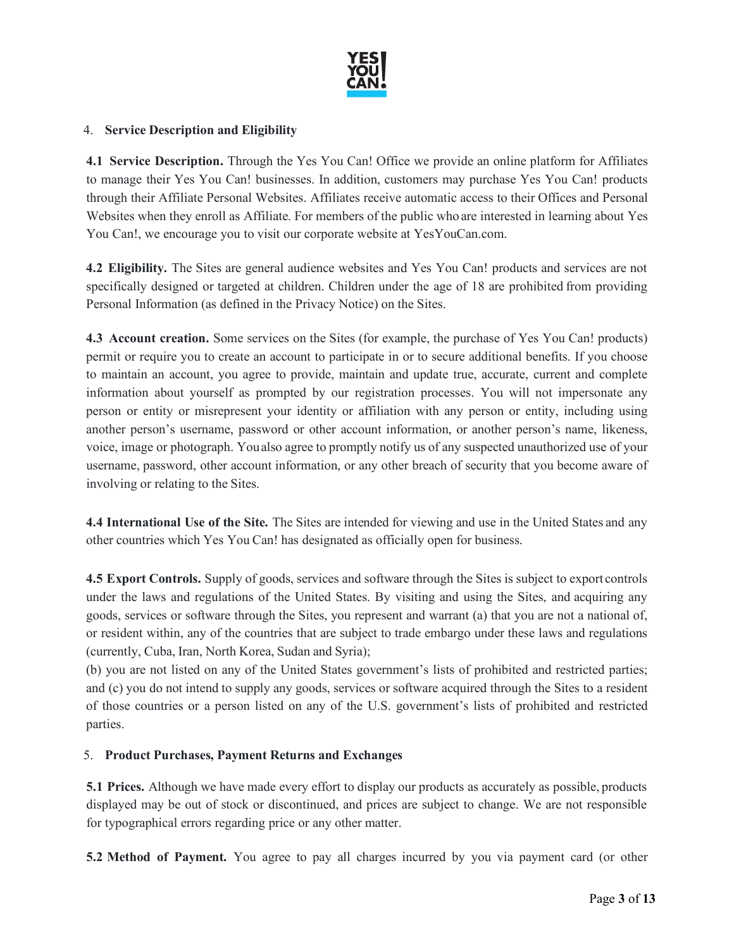

## 4. **Service Description and Eligibility**

**4.1 Service Description.** Through the Yes You Can! Office we provide an online platform for Affiliates to manage their Yes You Can! businesses. In addition, customers may purchase Yes You Can! products through their Affiliate Personal Websites. Affiliates receive automatic access to their Offices and Personal Websites when they enroll as Affiliate. For members of the public who are interested in learning about Yes You Can!, we encourage you to visit our corporate website at YesYouCan.com.

**4.2 Eligibility.** The Sites are general audience websites and Yes You Can! products and services are not specifically designed or targeted at children. Children under the age of 18 are prohibited from providing Personal Information (as defined in the Privacy Notice) on the Sites.

**4.3 Account creation.** Some services on the Sites (for example, the purchase of Yes You Can! products) permit or require you to create an account to participate in or to secure additional benefits. If you choose to maintain an account, you agree to provide, maintain and update true, accurate, current and complete information about yourself as prompted by our registration processes. You will not impersonate any person or entity or misrepresent your identity or affiliation with any person or entity, including using another person's username, password or other account information, or another person's name, likeness, voice, image or photograph. Youalso agree to promptly notify us of any suspected unauthorized use of your username, password, other account information, or any other breach of security that you become aware of involving or relating to the Sites.

**4.4 International Use of the Site.** The Sites are intended for viewing and use in the United States and any other countries which Yes You Can! has designated as officially open for business.

**4.5 Export Controls.** Supply of goods, services and software through the Sites is subject to export controls under the laws and regulations of the United States. By visiting and using the Sites, and acquiring any goods, services or software through the Sites, you represent and warrant (a) that you are not a national of, or resident within, any of the countries that are subject to trade embargo under these laws and regulations (currently, Cuba, Iran, North Korea, Sudan and Syria);

(b) you are not listed on any of the United States government's lists of prohibited and restricted parties; and (c) you do not intend to supply any goods, services or software acquired through the Sites to a resident of those countries or a person listed on any of the U.S. government's lists of prohibited and restricted parties.

#### 5. **Product Purchases, Payment Returns and Exchanges**

**5.1 Prices.** Although we have made every effort to display our products as accurately as possible, products displayed may be out of stock or discontinued, and prices are subject to change. We are not responsible for typographical errors regarding price or any other matter.

**5.2 Method of Payment.** You agree to pay all charges incurred by you via payment card (or other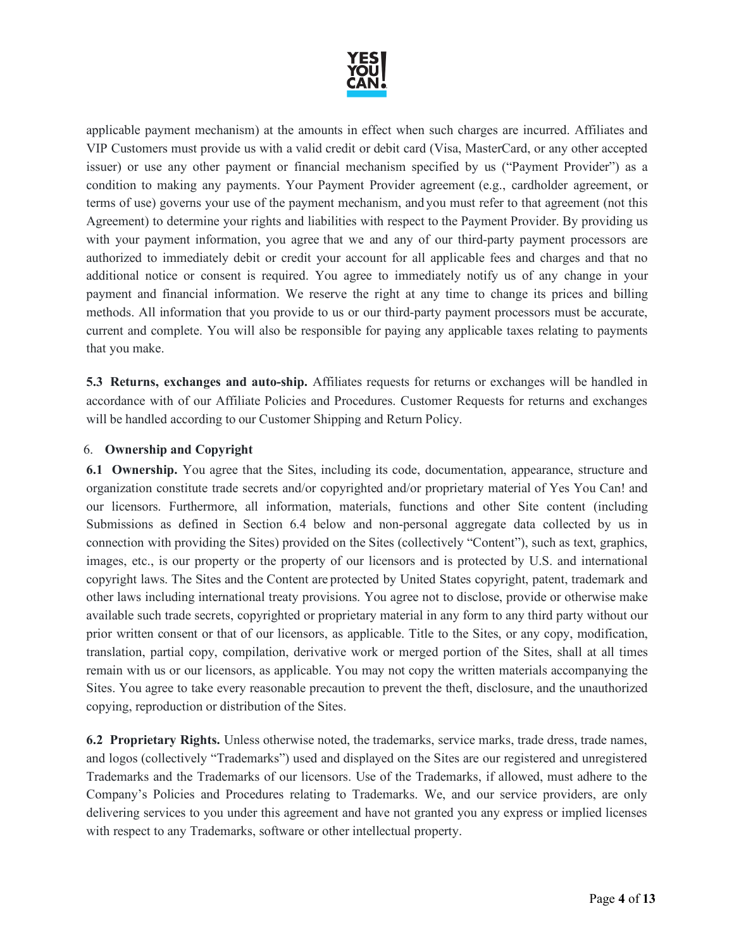

applicable payment mechanism) at the amounts in effect when such charges are incurred. Affiliates and VIP Customers must provide us with a valid credit or debit card (Visa, MasterCard, or any other accepted issuer) or use any other payment or financial mechanism specified by us ("Payment Provider") as a condition to making any payments. Your Payment Provider agreement (e.g., cardholder agreement, or terms of use) governs your use of the payment mechanism, and you must refer to that agreement (not this Agreement) to determine your rights and liabilities with respect to the Payment Provider. By providing us with your payment information, you agree that we and any of our third-party payment processors are authorized to immediately debit or credit your account for all applicable fees and charges and that no additional notice or consent is required. You agree to immediately notify us of any change in your payment and financial information. We reserve the right at any time to change its prices and billing methods. All information that you provide to us or our third-party payment processors must be accurate, current and complete. You will also be responsible for paying any applicable taxes relating to payments that you make.

**5.3 Returns, exchanges and auto-ship.** Affiliates requests for returns or exchanges will be handled in accordance with of our Affiliate Policies and Procedures. Customer Requests for returns and exchanges will be handled according to our Customer Shipping and Return Policy.

## 6. **Ownership and Copyright**

**6.1 Ownership.** You agree that the Sites, including its code, documentation, appearance, structure and organization constitute trade secrets and/or copyrighted and/or proprietary material of Yes You Can! and our licensors. Furthermore, all information, materials, functions and other Site content (including Submissions as defined in Section 6.4 below and non-personal aggregate data collected by us in connection with providing the Sites) provided on the Sites (collectively "Content"), such as text, graphics, images, etc., is our property or the property of our licensors and is protected by U.S. and international copyright laws. The Sites and the Content are protected by United States copyright, patent, trademark and other laws including international treaty provisions. You agree not to disclose, provide or otherwise make available such trade secrets, copyrighted or proprietary material in any form to any third party without our prior written consent or that of our licensors, as applicable. Title to the Sites, or any copy, modification, translation, partial copy, compilation, derivative work or merged portion of the Sites, shall at all times remain with us or our licensors, as applicable. You may not copy the written materials accompanying the Sites. You agree to take every reasonable precaution to prevent the theft, disclosure, and the unauthorized copying, reproduction or distribution of the Sites.

**6.2 Proprietary Rights.** Unless otherwise noted, the trademarks, service marks, trade dress, trade names, and logos (collectively "Trademarks") used and displayed on the Sites are our registered and unregistered Trademarks and the Trademarks of our licensors. Use of the Trademarks, if allowed, must adhere to the Company's Policies and Procedures relating to Trademarks. We, and our service providers, are only delivering services to you under this agreement and have not granted you any express or implied licenses with respect to any Trademarks, software or other intellectual property.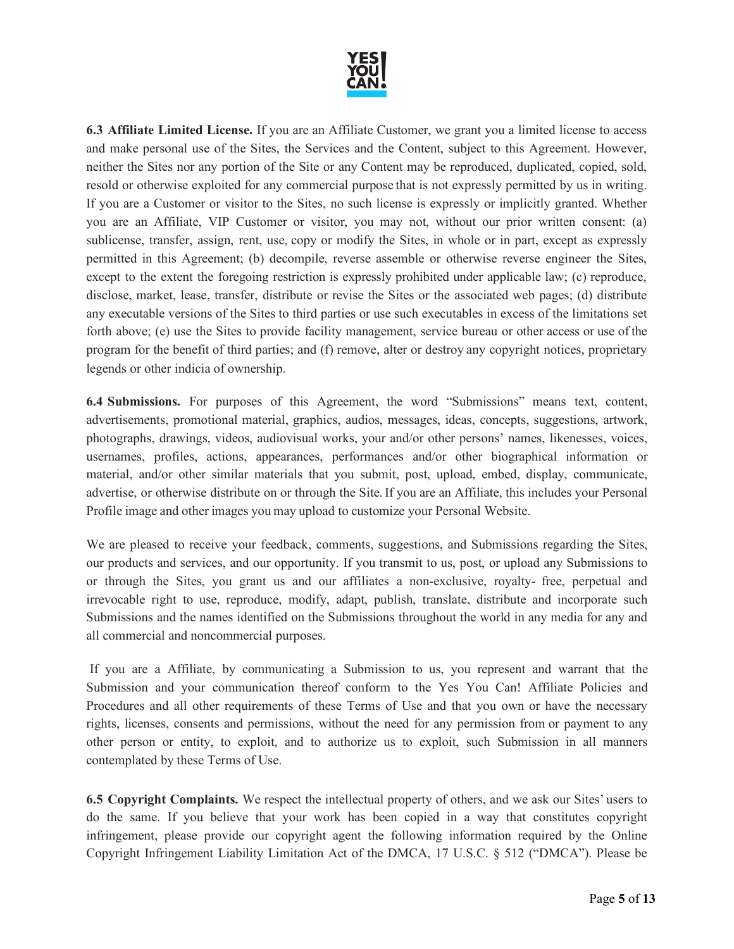

**6.3 Affiliate Limited License.** If you are an Affiliate Customer, we grant you a limited license to access and make personal use of the Sites, the Services and the Content, subject to this Agreement. However, neither the Sites nor any portion of the Site or any Content may be reproduced, duplicated, copied, sold, resold or otherwise exploited for any commercial purpose that is not expressly permitted by us in writing. If you are a Customer or visitor to the Sites, no such license is expressly or implicitly granted. Whether you are an Affiliate, VIP Customer or visitor, you may not, without our prior written consent: (a) sublicense, transfer, assign, rent, use, copy or modify the Sites, in whole or in part, except as expressly permitted in this Agreement; (b) decompile, reverse assemble or otherwise reverse engineer the Sites, except to the extent the foregoing restriction is expressly prohibited under applicable law; (c) reproduce, disclose, market, lease, transfer, distribute or revise the Sites or the associated web pages; (d) distribute any executable versions of the Sites to third parties or use such executables in excess of the limitations set forth above; (e) use the Sites to provide facility management, service bureau or other access or use of the program for the benefit of third parties; and (f) remove, alter or destroy any copyright notices, proprietary legends or other indicia of ownership.

**6.4 Submissions.** For purposes of this Agreement, the word "Submissions" means text, content, advertisements, promotional material, graphics, audios, messages, ideas, concepts, suggestions, artwork, photographs, drawings, videos, audiovisual works, your and/or other persons' names, likenesses, voices, usernames, profiles, actions, appearances, performances and/or other biographical information or material, and/or other similar materials that you submit, post, upload, embed, display, communicate, advertise, or otherwise distribute on or through the Site.If you are an Affiliate, this includes your Personal Profile image and other images you may upload to customize your Personal Website.

We are pleased to receive your feedback, comments, suggestions, and Submissions regarding the Sites, our products and services, and our opportunity. If you transmit to us, post, or upload any Submissions to or through the Sites, you grant us and our affiliates a non-exclusive, royalty- free, perpetual and irrevocable right to use, reproduce, modify, adapt, publish, translate, distribute and incorporate such Submissions and the names identified on the Submissions throughout the world in any media for any and all commercial and noncommercial purposes.

If you are a Affiliate, by communicating a Submission to us, you represent and warrant that the Submission and your communication thereof conform to the Yes You Can! Affiliate Policies and Procedures and all other requirements of these Terms of Use and that you own or have the necessary rights, licenses, consents and permissions, without the need for any permission from or payment to any other person or entity, to exploit, and to authorize us to exploit, such Submission in all manners contemplated by these Terms of Use.

**6.5 Copyright Complaints.** We respect the intellectual property of others, and we ask our Sites' users to do the same. If you believe that your work has been copied in a way that constitutes copyright infringement, please provide our copyright agent the following information required by the Online Copyright Infringement Liability Limitation Act of the DMCA, 17 U.S.C. § 512 ("DMCA"). Please be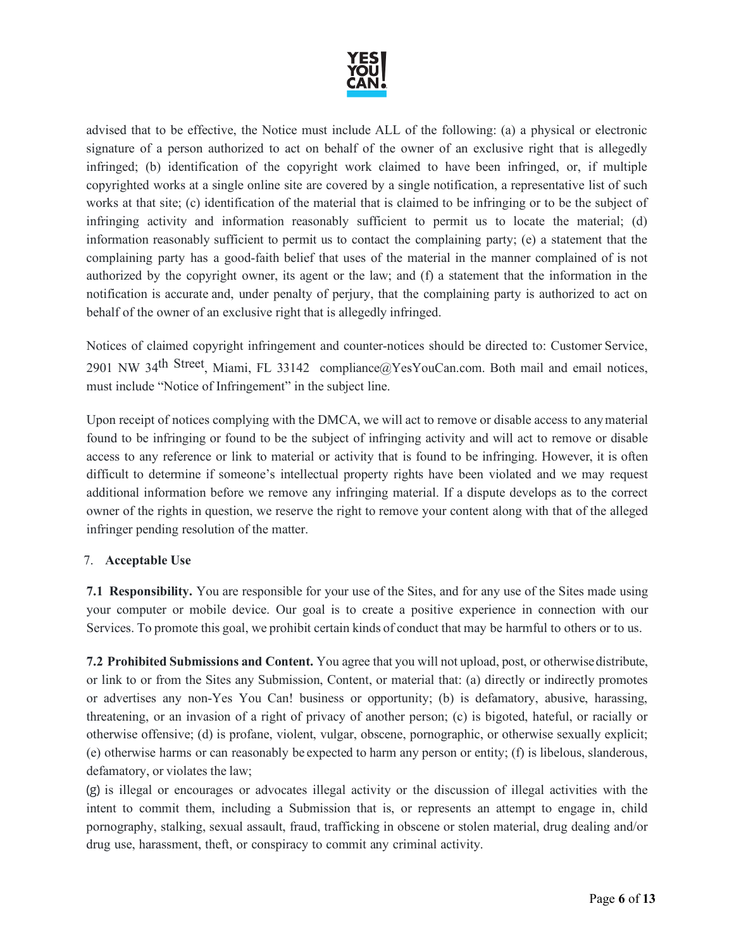

advised that to be effective, the Notice must include ALL of the following: (a) a physical or electronic signature of a person authorized to act on behalf of the owner of an exclusive right that is allegedly infringed; (b) identification of the copyright work claimed to have been infringed, or, if multiple copyrighted works at a single online site are covered by a single notification, a representative list of such works at that site; (c) identification of the material that is claimed to be infringing or to be the subject of infringing activity and information reasonably sufficient to permit us to locate the material; (d) information reasonably sufficient to permit us to contact the complaining party; (e) a statement that the complaining party has a good-faith belief that uses of the material in the manner complained of is not authorized by the copyright owner, its agent or the law; and (f) a statement that the information in the notification is accurate and, under penalty of perjury, that the complaining party is authorized to act on behalf of the owner of an exclusive right that is allegedly infringed.

Notices of claimed copyright infringement and counter-notices should be directed to: Customer Service, 2901 NW 34th Street, Miami, FL 33142 [compliance@YesYouCan.com.](mailto:compliance@YesYouCan.com) Both mail and email notices, must include "Notice of Infringement" in the subject line.

Upon receipt of notices complying with the DMCA, we will act to remove or disable access to anymaterial found to be infringing or found to be the subject of infringing activity and will act to remove or disable access to any reference or link to material or activity that is found to be infringing. However, it is often difficult to determine if someone's intellectual property rights have been violated and we may request additional information before we remove any infringing material. If a dispute develops as to the correct owner of the rights in question, we reserve the right to remove your content along with that of the alleged infringer pending resolution of the matter.

# 7. **Acceptable Use**

**7.1 Responsibility.** You are responsible for your use of the Sites, and for any use of the Sites made using your computer or mobile device. Our goal is to create a positive experience in connection with our Services. To promote this goal, we prohibit certain kinds of conduct that may be harmful to others or to us.

**7.2 Prohibited Submissions and Content.** You agree that you will not upload, post, or otherwisedistribute, or link to or from the Sites any Submission, Content, or material that: (a) directly or indirectly promotes or advertises any non-Yes You Can! business or opportunity; (b) is defamatory, abusive, harassing, threatening, or an invasion of a right of privacy of another person; (c) is bigoted, hateful, or racially or otherwise offensive; (d) is profane, violent, vulgar, obscene, pornographic, or otherwise sexually explicit; (e) otherwise harms or can reasonably be expected to harm any person or entity; (f) is libelous, slanderous, defamatory, or violates the law;

(g) is illegal or encourages or advocates illegal activity or the discussion of illegal activities with the intent to commit them, including a Submission that is, or represents an attempt to engage in, child pornography, stalking, sexual assault, fraud, trafficking in obscene or stolen material, drug dealing and/or drug use, harassment, theft, or conspiracy to commit any criminal activity.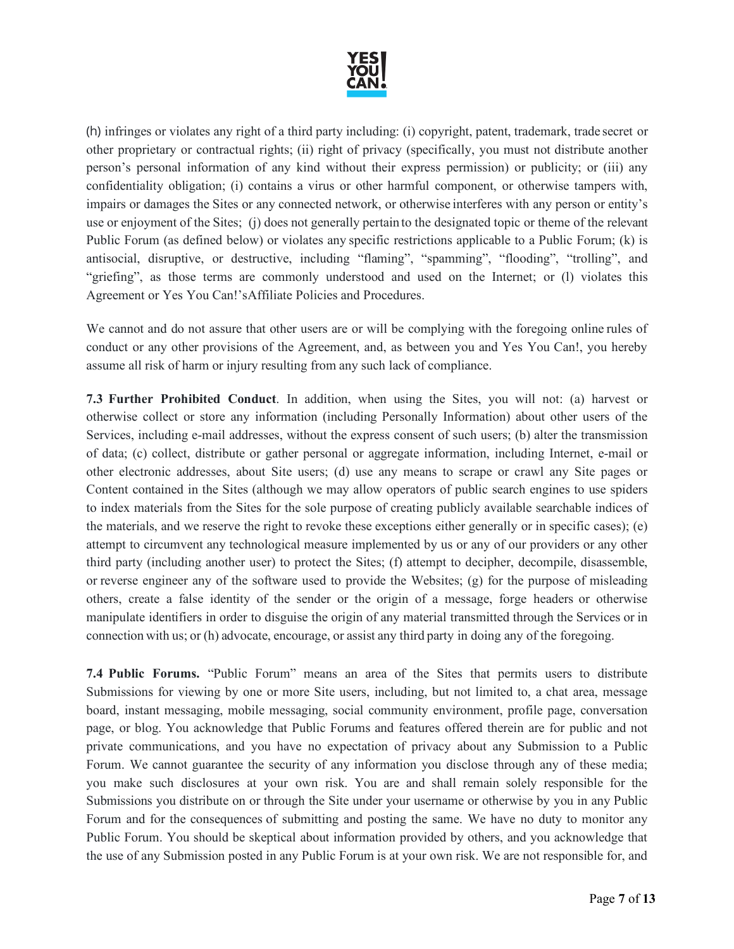

(h) infringes or violates any right of a third party including: (i) copyright, patent, trademark, trade secret or other proprietary or contractual rights; (ii) right of privacy (specifically, you must not distribute another person's personal information of any kind without their express permission) or publicity; or (iii) any confidentiality obligation; (i) contains a virus or other harmful component, or otherwise tampers with, impairs or damages the Sites or any connected network, or otherwise interferes with any person or entity's use or enjoyment of the Sites; (j) does not generally pertain to the designated topic or theme of the relevant Public Forum (as defined below) or violates any specific restrictions applicable to a Public Forum; (k) is antisocial, disruptive, or destructive, including "flaming", "spamming", "flooding", "trolling", and "griefing", as those terms are commonly understood and used on the Internet; or (I) violates this Agreement or Yes You Can!'sAffiliate Policies and Procedures.

We cannot and do not assure that other users are or will be complying with the foregoing online rules of conduct or any other provisions of the Agreement, and, as between you and Yes You Can!, you hereby assume all risk of harm or injury resulting from any such lack of compliance.

**7.3 Further Prohibited Conduct**. In addition, when using the Sites, you will not: (a) harvest or otherwise collect or store any information (including Personally Information) about other users of the Services, including e-mail addresses, without the express consent of such users; (b) alter the transmission of data; (c) collect, distribute or gather personal or aggregate information, including Internet, e-mail or other electronic addresses, about Site users; (d) use any means to scrape or crawl any Site pages or Content contained in the Sites (although we may allow operators of public search engines to use spiders to index materials from the Sites for the sole purpose of creating publicly available searchable indices of the materials, and we reserve the right to revoke these exceptions either generally or in specific cases); (e) attempt to circumvent any technological measure implemented by us or any of our providers or any other third party (including another user) to protect the Sites; (f) attempt to decipher, decompile, disassemble, or reverse engineer any of the software used to provide the Websites; (g) for the purpose of misleading others, create a false identity of the sender or the origin of a message, forge headers or otherwise manipulate identifiers in order to disguise the origin of any material transmitted through the Services or in connection with us; or (h) advocate, encourage, or assist any third party in doing any of the foregoing.

**7.4 Public Forums.** "Public Forum" means an area of the Sites that permits users to distribute Submissions for viewing by one or more Site users, including, but not limited to, a chat area, message board, instant messaging, mobile messaging, social community environment, profile page, conversation page, or blog. You acknowledge that Public Forums and features offered therein are for public and not private communications, and you have no expectation of privacy about any Submission to a Public Forum. We cannot guarantee the security of any information you disclose through any of these media; you make such disclosures at your own risk. You are and shall remain solely responsible for the Submissions you distribute on or through the Site under your username or otherwise by you in any Public Forum and for the consequences of submitting and posting the same. We have no duty to monitor any Public Forum. You should be skeptical about information provided by others, and you acknowledge that the use of any Submission posted in any Public Forum is at your own risk. We are not responsible for, and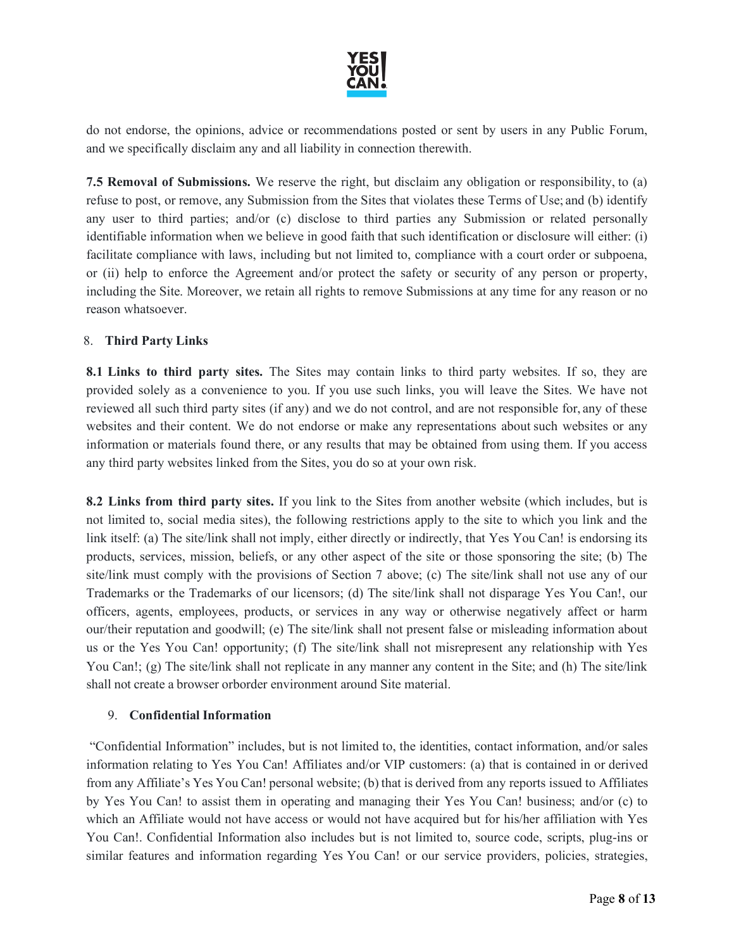

do not endorse, the opinions, advice or recommendations posted or sent by users in any Public Forum, and we specifically disclaim any and all liability in connection therewith.

**7.5 Removal of Submissions.** We reserve the right, but disclaim any obligation or responsibility, to (a) refuse to post, or remove, any Submission from the Sites that violates these Terms of Use; and (b) identify any user to third parties; and/or (c) disclose to third parties any Submission or related personally identifiable information when we believe in good faith that such identification or disclosure will either: (i) facilitate compliance with laws, including but not limited to, compliance with a court order or subpoena, or (ii) help to enforce the Agreement and/or protect the safety or security of any person or property, including the Site. Moreover, we retain all rights to remove Submissions at any time for any reason or no reason whatsoever.

## 8. **Third Party Links**

**8.1 Links to third party sites.** The Sites may contain links to third party websites. If so, they are provided solely as a convenience to you. If you use such links, you will leave the Sites. We have not reviewed all such third party sites (if any) and we do not control, and are not responsible for, any of these websites and their content. We do not endorse or make any representations about such websites or any information or materials found there, or any results that may be obtained from using them. If you access any third party websites linked from the Sites, you do so at your own risk.

**8.2 Links from third party sites.** If you link to the Sites from another website (which includes, but is not limited to, social media sites), the following restrictions apply to the site to which you link and the link itself: (a) The site/link shall not imply, either directly or indirectly, that Yes You Can! is endorsing its products, services, mission, beliefs, or any other aspect of the site or those sponsoring the site; (b) The site/link must comply with the provisions of Section 7 above; (c) The site/link shall not use any of our Trademarks or the Trademarks of our licensors; (d) The site/link shall not disparage Yes You Can!, our officers, agents, employees, products, or services in any way or otherwise negatively affect or harm our/their reputation and goodwill; (e) The site/link shall not present false or misleading information about us or the Yes You Can! opportunity; (f) The site/link shall not misrepresent any relationship with Yes You Can!; (g) The site/link shall not replicate in any manner any content in the Site; and (h) The site/link shall not create a browser orborder environment around Site material.

#### 9. **Confidential Information**

"Confidential Information" includes, but is not limited to, the identities, contact information, and/or sales information relating to Yes You Can! Affiliates and/or VIP customers: (a) that is contained in or derived from any Affiliate's Yes You Can! personal website; (b) that is derived from any reports issued to Affiliates by Yes You Can! to assist them in operating and managing their Yes You Can! business; and/or (c) to which an Affiliate would not have access or would not have acquired but for his/her affiliation with Yes You Can!. Confidential Information also includes but is not limited to, source code, scripts, plug-ins or similar features and information regarding Yes You Can! or our service providers, policies, strategies,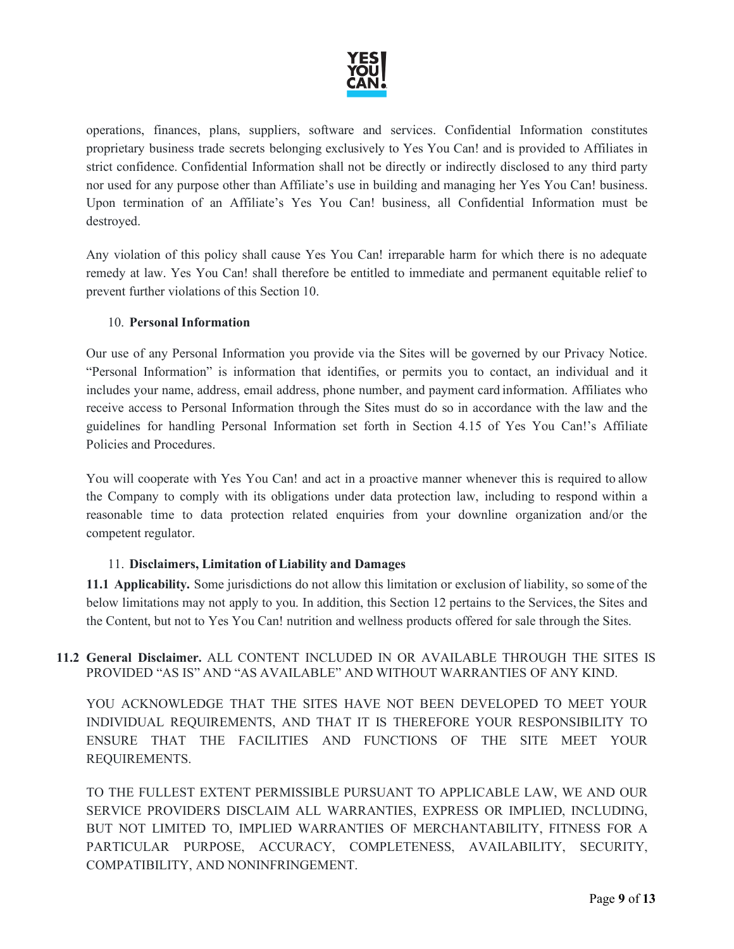

operations, finances, plans, suppliers, software and services. Confidential Information constitutes proprietary business trade secrets belonging exclusively to Yes You Can! and is provided to Affiliates in strict confidence. Confidential Information shall not be directly or indirectly disclosed to any third party nor used for any purpose other than Affiliate's use in building and managing her Yes You Can! business. Upon termination of an Affiliate's Yes You Can! business, all Confidential Information must be destroyed.

Any violation of this policy shall cause Yes You Can! irreparable harm for which there is no adequate remedy at law. Yes You Can! shall therefore be entitled to immediate and permanent equitable relief to prevent further violations of this Section 10.

# 10. **Personal Information**

Our use of any Personal Information you provide via the Sites will be governed by our Privacy Notice. "Personal Information" is information that identifies, or permits you to contact, an individual and it includes your name, address, email address, phone number, and payment card information. Affiliates who receive access to Personal Information through the Sites must do so in accordance with the law and the guidelines for handling Personal Information set forth in Section 4.15 of Yes You Can!'s Affiliate Policies and Procedures.

You will cooperate with Yes You Can! and act in a proactive manner whenever this is required to allow the Company to comply with its obligations under data protection law, including to respond within a reasonable time to data protection related enquiries from your downline organization and/or the competent regulator.

#### 11. **Disclaimers, Limitation of Liability and Damages**

**11.1 Applicability.** Some jurisdictions do not allow this limitation or exclusion of liability, so some of the below limitations may not apply to you. In addition, this Section 12 pertains to the Services, the Sites and the Content, but not to Yes You Can! nutrition and wellness products offered for sale through the Sites.

# **11.2 General Disclaimer.** ALL CONTENT INCLUDED IN OR AVAILABLE THROUGH THE SITES IS PROVIDED "AS IS" AND "AS AVAILABLE" AND WITHOUT WARRANTIES OF ANY KIND.

YOU ACKNOWLEDGE THAT THE SITES HAVE NOT BEEN DEVELOPED TO MEET YOUR INDIVIDUAL REQUIREMENTS, AND THAT IT IS THEREFORE YOUR RESPONSIBILITY TO ENSURE THAT THE FACILITIES AND FUNCTIONS OF THE SITE MEET YOUR REQUIREMENTS.

TO THE FULLEST EXTENT PERMISSIBLE PURSUANT TO APPLICABLE LAW, WE AND OUR SERVICE PROVIDERS DISCLAIM ALL WARRANTIES, EXPRESS OR IMPLIED, INCLUDING, BUT NOT LIMITED TO, IMPLIED WARRANTIES OF MERCHANTABILITY, FITNESS FOR A PARTICULAR PURPOSE, ACCURACY, COMPLETENESS, AVAILABILITY, SECURITY, COMPATIBILITY, AND NONINFRINGEMENT.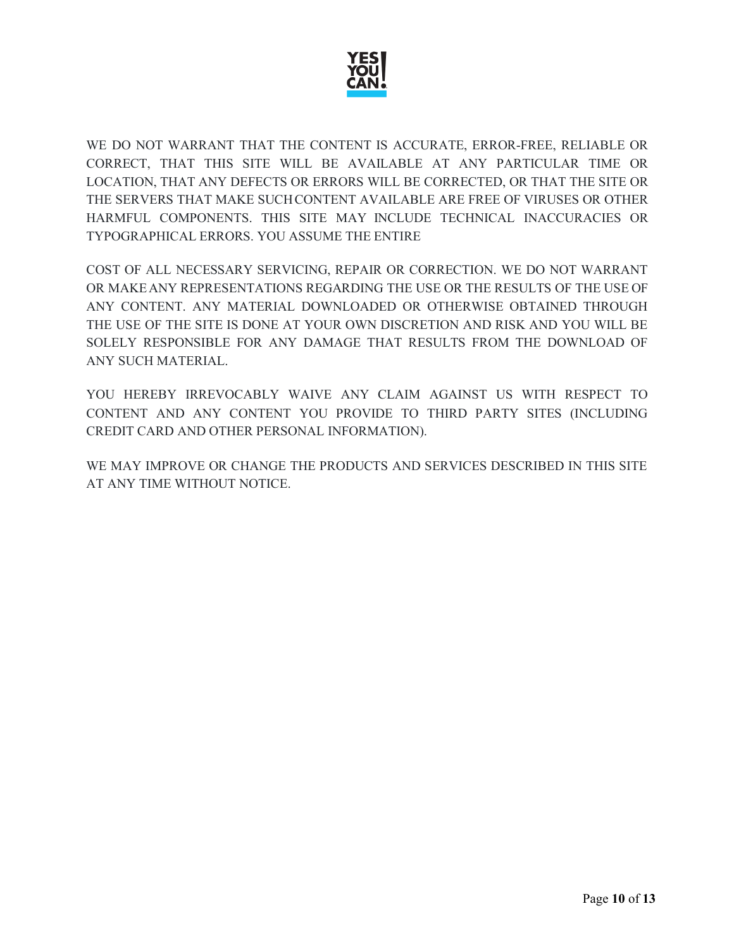

WE DO NOT WARRANT THAT THE CONTENT IS ACCURATE, ERROR-FREE, RELIABLE OR CORRECT, THAT THIS SITE WILL BE AVAILABLE AT ANY PARTICULAR TIME OR LOCATION, THAT ANY DEFECTS OR ERRORS WILL BE CORRECTED, OR THAT THE SITE OR THE SERVERS THAT MAKE SUCHCONTENT AVAILABLE ARE FREE OF VIRUSES OR OTHER HARMFUL COMPONENTS. THIS SITE MAY INCLUDE TECHNICAL INACCURACIES OR TYPOGRAPHICAL ERRORS. YOU ASSUME THE ENTIRE

COST OF ALL NECESSARY SERVICING, REPAIR OR CORRECTION. WE DO NOT WARRANT OR MAKEANY REPRESENTATIONS REGARDING THE USE OR THE RESULTS OF THE USE OF ANY CONTENT. ANY MATERIAL DOWNLOADED OR OTHERWISE OBTAINED THROUGH THE USE OF THE SITE IS DONE AT YOUR OWN DISCRETION AND RISK AND YOU WILL BE SOLELY RESPONSIBLE FOR ANY DAMAGE THAT RESULTS FROM THE DOWNLOAD OF ANY SUCH MATERIAL.

YOU HEREBY IRREVOCABLY WAIVE ANY CLAIM AGAINST US WITH RESPECT TO CONTENT AND ANY CONTENT YOU PROVIDE TO THIRD PARTY SITES (INCLUDING CREDIT CARD AND OTHER PERSONAL INFORMATION).

WE MAY IMPROVE OR CHANGE THE PRODUCTS AND SERVICES DESCRIBED IN THIS SITE AT ANY TIME WITHOUT NOTICE.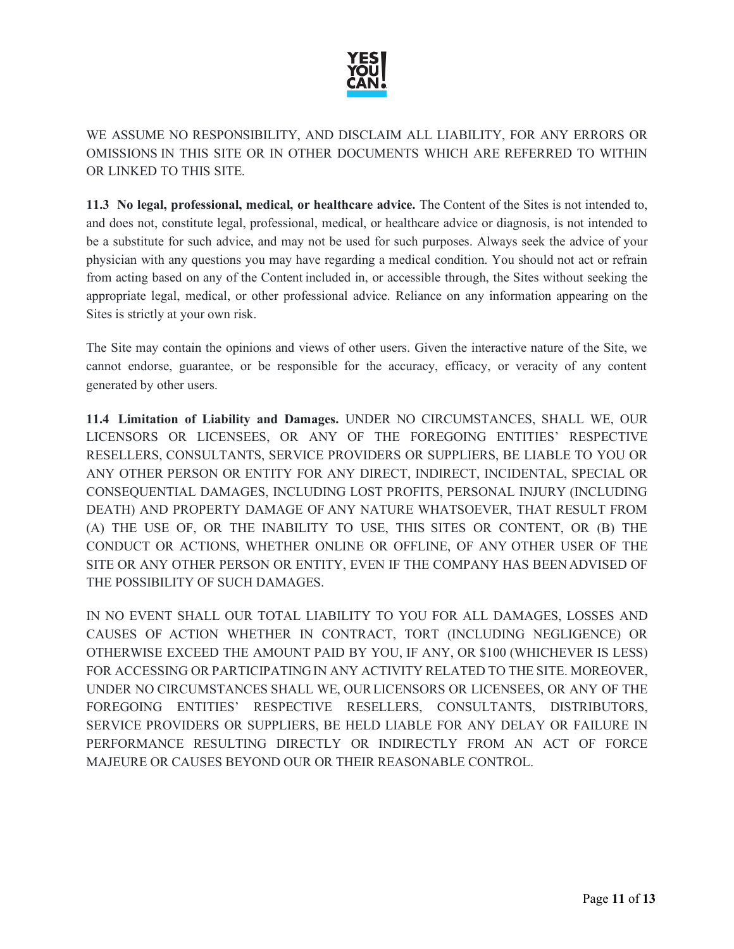

# WE ASSUME NO RESPONSIBILITY, AND DISCLAIM ALL LIABILITY, FOR ANY ERRORS OR OMISSIONS IN THIS SITE OR IN OTHER DOCUMENTS WHICH ARE REFERRED TO WITHIN OR LINKED TO THIS SITE.

**11.3 No legal, professional, medical, or healthcare advice.** The Content of the Sites is not intended to, and does not, constitute legal, professional, medical, or healthcare advice or diagnosis, is not intended to be a substitute for such advice, and may not be used for such purposes. Always seek the advice of your physician with any questions you may have regarding a medical condition. You should not act or refrain from acting based on any of the Content included in, or accessible through, the Sites without seeking the appropriate legal, medical, or other professional advice. Reliance on any information appearing on the Sites is strictly at your own risk.

The Site may contain the opinions and views of other users. Given the interactive nature of the Site, we cannot endorse, guarantee, or be responsible for the accuracy, efficacy, or veracity of any content generated by other users.

**11.4 Limitation of Liability and Damages.** UNDER NO CIRCUMSTANCES, SHALL WE, OUR LICENSORS OR LICENSEES, OR ANY OF THE FOREGOING ENTITIES' RESPECTIVE RESELLERS, CONSULTANTS, SERVICE PROVIDERS OR SUPPLIERS, BE LIABLE TO YOU OR ANY OTHER PERSON OR ENTITY FOR ANY DIRECT, INDIRECT, INCIDENTAL, SPECIAL OR CONSEQUENTIAL DAMAGES, INCLUDING LOST PROFITS, PERSONAL INJURY (INCLUDING DEATH) AND PROPERTY DAMAGE OF ANY NATURE WHATSOEVER, THAT RESULT FROM (A) THE USE OF, OR THE INABILITY TO USE, THIS SITES OR CONTENT, OR (B) THE CONDUCT OR ACTIONS, WHETHER ONLINE OR OFFLINE, OF ANY OTHER USER OF THE SITE OR ANY OTHER PERSON OR ENTITY, EVEN IF THE COMPANY HAS BEEN ADVISED OF THE POSSIBILITY OF SUCH DAMAGES.

IN NO EVENT SHALL OUR TOTAL LIABILITY TO YOU FOR ALL DAMAGES, LOSSES AND CAUSES OF ACTION WHETHER IN CONTRACT, TORT (INCLUDING NEGLIGENCE) OR OTHERWISE EXCEED THE AMOUNT PAID BY YOU, IF ANY, OR \$100 (WHICHEVER IS LESS) FOR ACCESSING OR PARTICIPATINGIN ANY ACTIVITY RELATED TO THE SITE. MOREOVER, UNDER NO CIRCUMSTANCES SHALL WE, OURLICENSORS OR LICENSEES, OR ANY OF THE FOREGOING ENTITIES' RESPECTIVE RESELLERS, CONSULTANTS, DISTRIBUTORS, SERVICE PROVIDERS OR SUPPLIERS, BE HELD LIABLE FOR ANY DELAY OR FAILURE IN PERFORMANCE RESULTING DIRECTLY OR INDIRECTLY FROM AN ACT OF FORCE MAJEURE OR CAUSES BEYOND OUR OR THEIR REASONABLE CONTROL.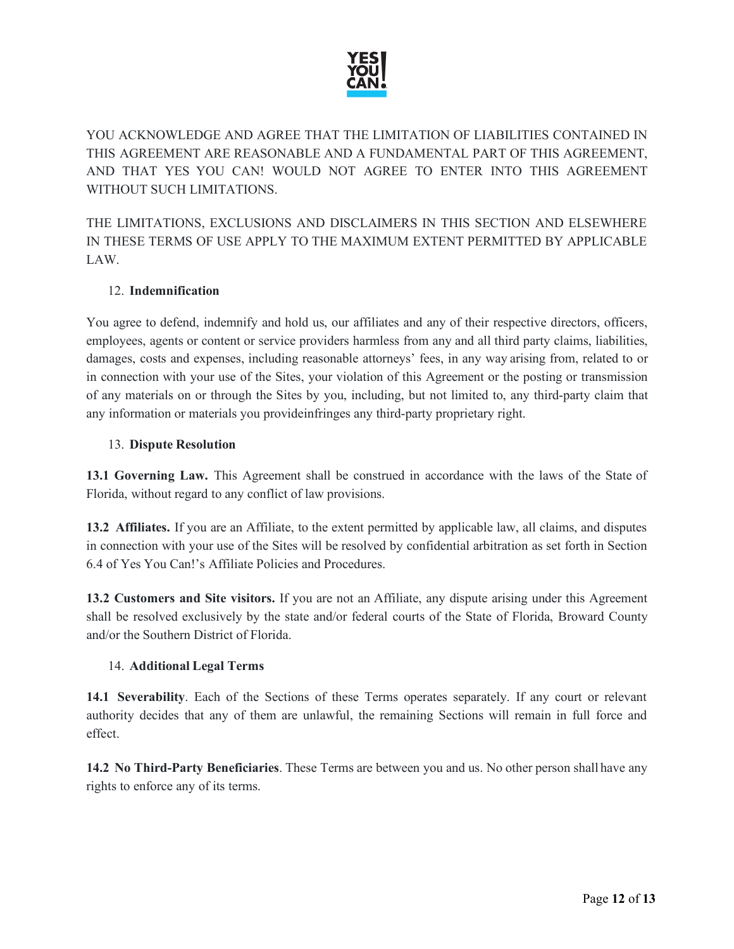

YOU ACKNOWLEDGE AND AGREE THAT THE LIMITATION OF LIABILITIES CONTAINED IN THIS AGREEMENT ARE REASONABLE AND A FUNDAMENTAL PART OF THIS AGREEMENT, AND THAT YES YOU CAN! WOULD NOT AGREE TO ENTER INTO THIS AGREEMENT WITHOUT SUCH LIMITATIONS.

THE LIMITATIONS, EXCLUSIONS AND DISCLAIMERS IN THIS SECTION AND ELSEWHERE IN THESE TERMS OF USE APPLY TO THE MAXIMUM EXTENT PERMITTED BY APPLICABLE LAW.

# 12. **Indemnification**

You agree to defend, indemnify and hold us, our affiliates and any of their respective directors, officers, employees, agents or content or service providers harmless from any and all third party claims, liabilities, damages, costs and expenses, including reasonable attorneys' fees, in any way arising from, related to or in connection with your use of the Sites, your violation of this Agreement or the posting or transmission of any materials on or through the Sites by you, including, but not limited to, any third-party claim that any information or materials you provideinfringes any third-party proprietary right.

## 13. **Dispute Resolution**

**13.1 Governing Law.** This Agreement shall be construed in accordance with the laws of the State of Florida, without regard to any conflict of law provisions.

**13.2 Affiliates.** If you are an Affiliate, to the extent permitted by applicable law, all claims, and disputes in connection with your use of the Sites will be resolved by confidential arbitration as set forth in Section 6.4 of Yes You Can!'s Affiliate Policies and Procedures.

**13.2 Customers and Site visitors.** If you are not an Affiliate, any dispute arising under this Agreement shall be resolved exclusively by the state and/or federal courts of the State of Florida, Broward County and/or the Southern District of Florida.

# 14. **Additional Legal Terms**

**14.1 Severability**. Each of the Sections of these Terms operates separately. If any court or relevant authority decides that any of them are unlawful, the remaining Sections will remain in full force and effect.

**14.2 No Third-Party Beneficiaries**. These Terms are between you and us. No other person shall have any rights to enforce any of its terms.